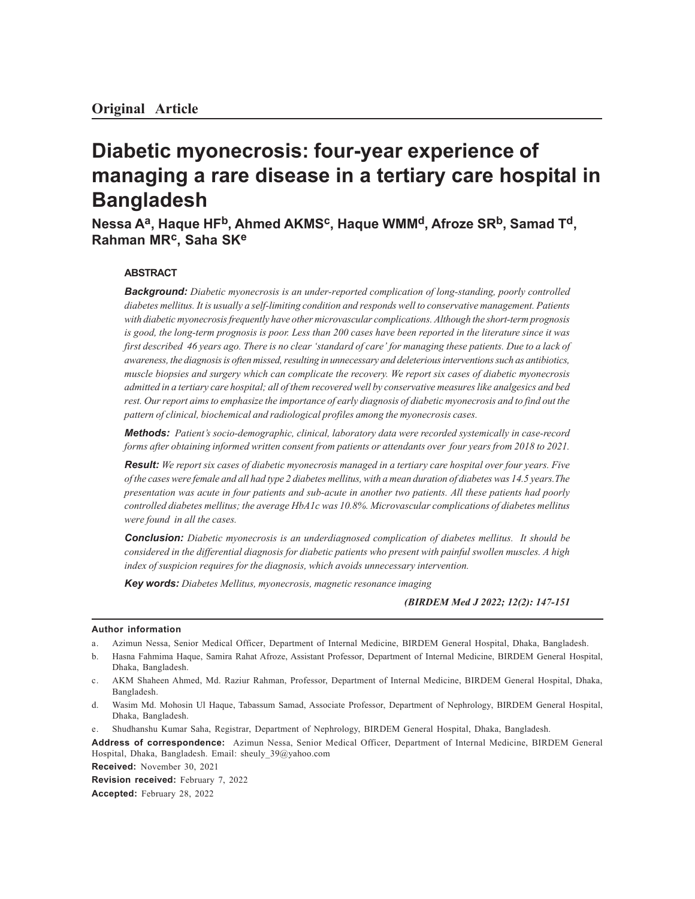# **Diabetic myonecrosis: four-year experience of managing a rare disease in a tertiary care hospital in Bangladesh**

**Nessa Aa, Haque HFb, Ahmed AKMSc, Haque WMMd, Afroze SRb, Samad Td, Rahman MRc, Saha SK<sup>e</sup>**

## **ABSTRACT**

*Background: Diabetic myonecrosis is an under-reported complication of long-standing, poorly controlled diabetes mellitus. It is usually a self-limiting condition and responds well to conservative management. Patients with diabetic myonecrosis frequently have other microvascular complications. Although the short-term prognosis is good, the long-term prognosis is poor. Less than 200 cases have been reported in the literature since it was first described 46 years ago. There is no clear 'standard of care' for managing these patients. Due to a lack of awareness, the diagnosis is often missed, resulting in unnecessary and deleterious interventions such as antibiotics, muscle biopsies and surgery which can complicate the recovery. We report six cases of diabetic myonecrosis admitted in a tertiary care hospital; all of them recovered well by conservative measures like analgesics and bed rest. Our report aims to emphasize the importance of early diagnosis of diabetic myonecrosis and to find out the pattern of clinical, biochemical and radiological profiles among the myonecrosis cases.*

*Methods: Patient's socio-demographic, clinical, laboratory data were recorded systemically in case-record forms after obtaining informed written consent from patients or attendants over four years from 2018 to 2021.*

*Result: We report six cases of diabetic myonecrosis managed in a tertiary care hospital over four years. Five of the cases were female and all had type 2 diabetes mellitus, with a mean duration of diabetes was 14.5 years.The presentation was acute in four patients and sub-acute in another two patients. All these patients had poorly controlled diabetes mellitus; the average HbA1c was 10.8%. Microvascular complications of diabetes mellitus were found in all the cases.*

*Conclusion: Diabetic myonecrosis is an underdiagnosed complication of diabetes mellitus. It should be considered in the differential diagnosis for diabetic patients who present with painful swollen muscles. A high index of suspicion requires for the diagnosis, which avoids unnecessary intervention.*

*Key words: Diabetes Mellitus, myonecrosis, magnetic resonance imaging*

*(BIRDEM Med J 2022; 12(2): 147-151*

#### **Author information**

- a. Azimun Nessa, Senior Medical Officer, Department of Internal Medicine, BIRDEM General Hospital, Dhaka, Bangladesh.
- b. Hasna Fahmima Haque, Samira Rahat Afroze, Assistant Professor, Department of Internal Medicine, BIRDEM General Hospital, Dhaka, Bangladesh.
- c. AKM Shaheen Ahmed, Md. Raziur Rahman, Professor, Department of Internal Medicine, BIRDEM General Hospital, Dhaka, Bangladesh.
- d. Wasim Md. Mohosin Ul Haque, Tabassum Samad, Associate Professor, Department of Nephrology, BIRDEM General Hospital, Dhaka, Bangladesh.
- e. Shudhanshu Kumar Saha, Registrar, Department of Nephrology, BIRDEM General Hospital, Dhaka, Bangladesh.
- **Address of correspondence:** Azimun Nessa, Senior Medical Officer, Department of Internal Medicine, BIRDEM General Hospital, Dhaka, Bangladesh. Email: sheuly\_39@yahoo.com

**Received:** November 30, 2021

**Revision received:** February 7, 2022 **Accepted:** February 28, 2022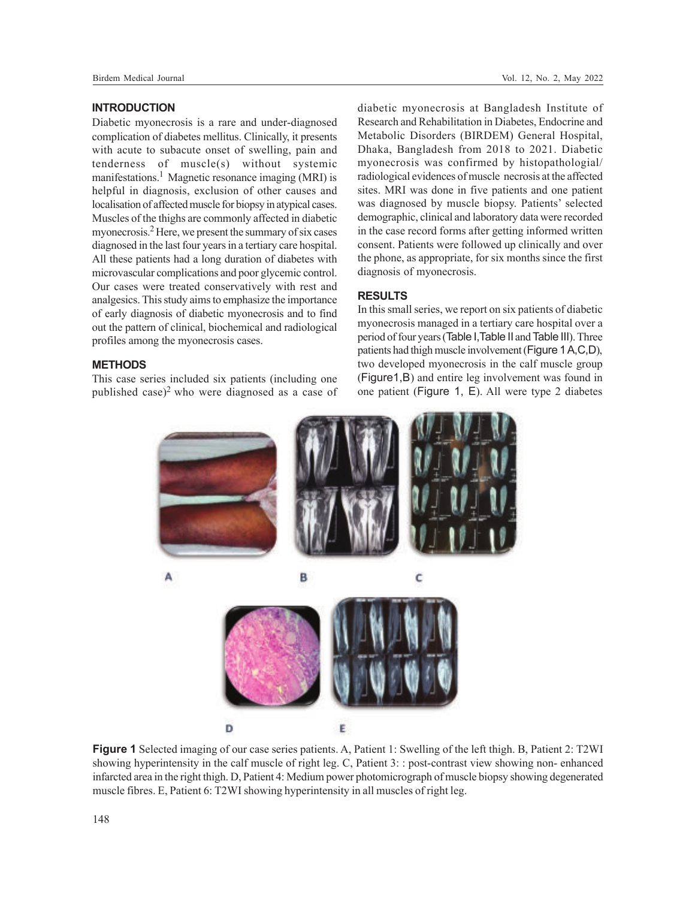#### **INTRODUCTION**

Diabetic myonecrosis is a rare and under-diagnosed complication of diabetes mellitus. Clinically, it presents with acute to subacute onset of swelling, pain and tenderness of muscle(s) without systemic manifestations.<sup>1</sup> Magnetic resonance imaging (MRI) is helpful in diagnosis, exclusion of other causes and localisation of affected muscle for biopsy in atypical cases. Muscles of the thighs are commonly affected in diabetic myonecrosis.<sup>2</sup> Here, we present the summary of six cases diagnosed in the last four years in a tertiary care hospital. All these patients had a long duration of diabetes with microvascular complications and poor glycemic control. Our cases were treated conservatively with rest and analgesics. This study aims to emphasize the importance of early diagnosis of diabetic myonecrosis and to find out the pattern of clinical, biochemical and radiological profiles among the myonecrosis cases.

#### **METHODS**

This case series included six patients (including one published case)<sup>2</sup> who were diagnosed as a case of diabetic myonecrosis at Bangladesh Institute of Research and Rehabilitation in Diabetes, Endocrine and Metabolic Disorders (BIRDEM) General Hospital, Dhaka, Bangladesh from 2018 to 2021. Diabetic myonecrosis was confirmed by histopathologial/ radiological evidences of muscle necrosis at the affected sites. MRI was done in five patients and one patient was diagnosed by muscle biopsy. Patients' selected demographic, clinical and laboratory data were recorded in the case record forms after getting informed written consent. Patients were followed up clinically and over the phone, as appropriate, for six months since the first diagnosis of myonecrosis.

### **RESULTS**

In this small series, we report on six patients of diabetic myonecrosis managed in a tertiary care hospital over a period of four years (Table I,Table II and Table III). Three patients had thigh muscle involvement (Figure 1 A,C,D), two developed myonecrosis in the calf muscle group (Figure1,B) and entire leg involvement was found in one patient (Figure 1, E). All were type 2 diabetes



**Figure 1** Selected imaging of our case series patients. A, Patient 1: Swelling of the left thigh. B, Patient 2: T2WI showing hyperintensity in the calf muscle of right leg. C, Patient 3: : post-contrast view showing non- enhanced infarcted area in the right thigh. D, Patient 4: Medium power photomicrograph of muscle biopsy showing degenerated muscle fibres. E, Patient 6: T2WI showing hyperintensity in all muscles of right leg.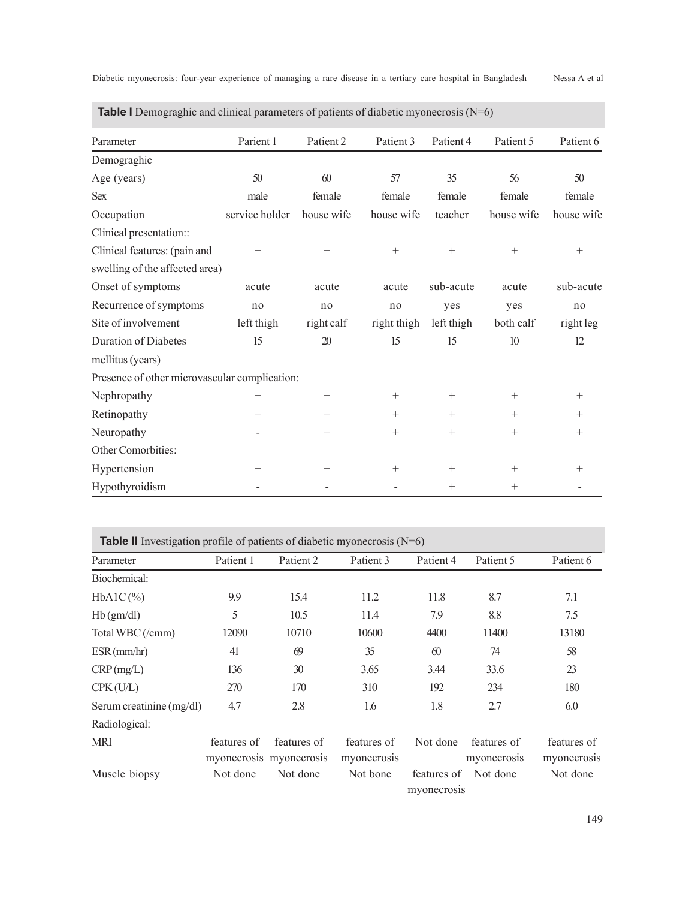| <b>Table I</b> Demograghic and clinical parameters of patients of diabetic myonecrosis $(N=6)$ |                |            |             |                 |            |            |
|------------------------------------------------------------------------------------------------|----------------|------------|-------------|-----------------|------------|------------|
| Parameter                                                                                      | Parient 1      | Patient 2  | Patient 3   | Patient 4       | Patient 5  | Patient 6  |
| Demograghic                                                                                    |                |            |             |                 |            |            |
| Age (years)                                                                                    | 50             | 60         | 57          | 35              | 56         | 50         |
| <b>Sex</b>                                                                                     | male           | female     | female      | female          | female     | female     |
| Occupation                                                                                     | service holder | house wife | house wife  | teacher         | house wife | house wife |
| Clinical presentation::                                                                        |                |            |             |                 |            |            |
| Clinical features: (pain and                                                                   | $^{+}$         | $+$        | $+$         | $+$             | $+$        | $+$        |
| swelling of the affected area)                                                                 |                |            |             |                 |            |            |
| Onset of symptoms                                                                              | acute          | acute      | acute       | sub-acute       | acute      | sub-acute  |
| Recurrence of symptoms                                                                         | no             | no         | no          | yes             | yes        | no         |
| Site of involvement                                                                            | left thigh     | right calf | right thigh | left thigh      | both calf  | right leg  |
| <b>Duration of Diabetes</b>                                                                    | 15             | 20         | 15          | 15              | 10         | 12         |
| mellitus (years)                                                                               |                |            |             |                 |            |            |
| Presence of other microvascular complication:                                                  |                |            |             |                 |            |            |
| Nephropathy                                                                                    | $^{+}$         | $^{+}$     | $^{+}$      | $^{+}$          | $^{+}$     | $^{+}$     |
| Retinopathy                                                                                    | $^{+}$         | $+$        | $+$         | $+$             | $+$        | $^{+}$     |
| Neuropathy                                                                                     |                | $^{+}$     | $^{+}$      | $^{+}$          | $^{+}$     | $+$        |
| Other Comorbities:                                                                             |                |            |             |                 |            |            |
| Hypertension                                                                                   | $^{+}$         | $+$        | $+$         | $^{+}$          | $^{+}$     | $^{+}$     |
| Hypothyroidism                                                                                 |                |            |             | $\! + \!\!\!\!$ | $^{+}$     |            |

| Diabetic myonecrosis: four-year experience of managing a rare disease in a tertiary care hospital in Bangladesh |  |  |  |  |  |  |  | Nessa A et al |
|-----------------------------------------------------------------------------------------------------------------|--|--|--|--|--|--|--|---------------|
|-----------------------------------------------------------------------------------------------------------------|--|--|--|--|--|--|--|---------------|

| <b>Table II</b> Investigation profile of patients of diabetic myonecrosis $(N=6)$ |             |                         |             |             |             |             |  |
|-----------------------------------------------------------------------------------|-------------|-------------------------|-------------|-------------|-------------|-------------|--|
| Parameter                                                                         | Patient 1   | Patient 2               | Patient 3   | Patient 4   | Patient 5   | Patient 6   |  |
| Biochemical:                                                                      |             |                         |             |             |             |             |  |
| $HbA1C(\%)$                                                                       | 9.9         | 15.4                    | 11.2        | 11.8        | 8.7         | 7.1         |  |
| Hb(gm/dl)                                                                         | 5           | 10.5                    | 11.4        | 7.9         | 8.8         | 7.5         |  |
| Total WBC (/cmm)                                                                  | 12090       | 10710                   | 10600       | 4400        | 11400       | 13180       |  |
| ESR(mm/hr)                                                                        | 41          | 69                      | 35          | 60          | 74          | 58          |  |
| CRP(mg/L)                                                                         | 136         | 30                      | 3.65        | 3.44        | 33.6        | 23          |  |
| CPK(U/L)                                                                          | 270         | 170                     | 310         | 192         | 234         | 180         |  |
| Serum creatinine (mg/dl)                                                          | 4.7         | 2.8                     | 1.6         | 1.8         | 2.7         | 6.0         |  |
| Radiological:                                                                     |             |                         |             |             |             |             |  |
| <b>MRI</b>                                                                        | features of | features of             | features of | Not done    | features of | features of |  |
|                                                                                   |             | myonecrosis myonecrosis | myonecrosis |             | myonecrosis | myonecrosis |  |
| Muscle biopsy                                                                     | Not done    | Not done                | Not bone    | features of | Not done    | Not done    |  |
|                                                                                   |             |                         |             | myonecrosis |             |             |  |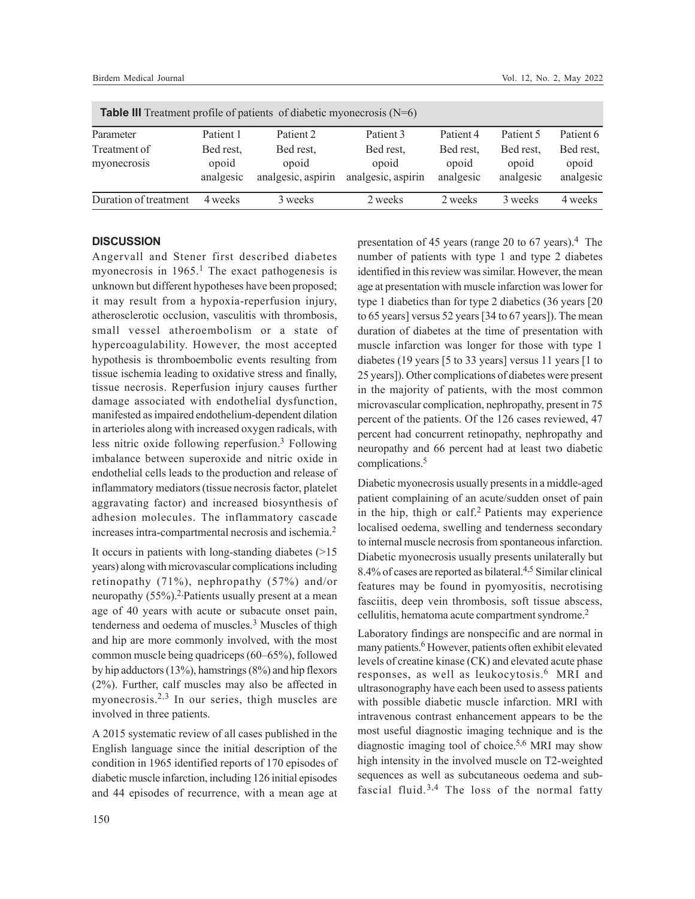| <b>Table III</b> Treatment profile of patients of diabetic myonecrosis $(N=6)$ |                                 |                                          |                                          |                                 |                                 |                                 |  |  |
|--------------------------------------------------------------------------------|---------------------------------|------------------------------------------|------------------------------------------|---------------------------------|---------------------------------|---------------------------------|--|--|
| Parameter                                                                      | Patient 1                       | Patient 2                                | Patient 3                                | Patient 4                       | Patient 5                       | Patient 6                       |  |  |
| Treatment of<br>myonecrosis                                                    | Bed rest,<br>opoid<br>analgesic | Bed rest,<br>opoid<br>analgesic, aspirin | Bed rest,<br>opoid<br>analgesic, aspirin | Bed rest,<br>opoid<br>analgesic | Bed rest,<br>opoid<br>analgesic | Bed rest,<br>opoid<br>analgesic |  |  |
| Duration of treatment                                                          | 4 weeks                         | 3 weeks                                  | 2 weeks                                  | 2 weeks                         | 3 weeks                         | 4 weeks                         |  |  |

#### **DISCUSSION**

Angervall and Stener first described diabetes myonecrosis in  $1965$ <sup>1</sup>. The exact pathogenesis is unknown but different hypotheses have been proposed; it may result from a hypoxia-reperfusion injury, atherosclerotic occlusion, vasculitis with thrombosis, small vessel atheroembolism or a state of hypercoagulability. However, the most accepted hypothesis is thromboembolic events resulting from tissue ischemia leading to oxidative stress and finally, tissue necrosis. Reperfusion injury causes further damage associated with endothelial dysfunction, manifested as impaired endothelium-dependent dilation in arterioles along with increased oxygen radicals, with less nitric oxide following reperfusion.<sup>3</sup> Following imbalance between superoxide and nitric oxide in endothelial cells leads to the production and release of inflammatory mediators (tissue necrosis factor, platelet aggravating factor) and increased biosynthesis of adhesion molecules. The inflammatory cascade increases intra-compartmental necrosis and ischemia.<sup>2</sup>

It occurs in patients with long-standing diabetes (>15 years) along with microvascular complications including retinopathy (71%), nephropathy (57%) and/or neuropathy  $(55\%)$ .<sup>2</sup>, Patients usually present at a mean age of 40 years with acute or subacute onset pain, tenderness and oedema of muscles.<sup>3</sup> Muscles of thigh and hip are more commonly involved, with the most common muscle being quadriceps (60–65%), followed by hip adductors (13%), hamstrings (8%) and hip flexors (2%). Further, calf muscles may also be affected in myonecrosis.<sup>2,3</sup> In our series, thigh muscles are involved in three patients.

A 2015 systematic review of all cases published in the English language since the initial description of the condition in 1965 identified reports of 170 episodes of diabetic muscle infarction, including 126 initial episodes and 44 episodes of recurrence, with a mean age at

presentation of 45 years (range 20 to 67 years).<sup>4</sup> The number of patients with type 1 and type 2 diabetes identified in this review was similar. However, the mean age at presentation with muscle infarction was lower for type 1 diabetics than for type 2 diabetics (36 years [20 to 65 years] versus 52 years [34 to 67 years]). The mean duration of diabetes at the time of presentation with muscle infarction was longer for those with type 1 diabetes (19 years [5 to 33 years] versus 11 years [1 to 25 years]). Other complications of diabetes were present in the majority of patients, with the most common microvascular complication, nephropathy, present in 75 percent of the patients. Of the 126 cases reviewed, 47 percent had concurrent retinopathy, nephropathy and neuropathy and 66 percent had at least two diabetic complications.<sup>5</sup>

Diabetic myonecrosis usually presents in a middle-aged patient complaining of an acute/sudden onset of pain in the hip, thigh or calf.<sup>2</sup> Patients may experience localised oedema, swelling and tenderness secondary to internal muscle necrosis from spontaneous infarction. Diabetic myonecrosis usually presents unilaterally but 8.4% of cases are reported as bilateral.4,5 Similar clinical features may be found in pyomyositis, necrotising fasciitis, deep vein thrombosis, soft tissue abscess, cellulitis, hematoma acute compartment syndrome.<sup>2</sup>

Laboratory findings are nonspecific and are normal in many patients.<sup>6</sup> However, patients often exhibit elevated levels of creatine kinase (CK) and elevated acute phase responses, as well as leukocytosis.<sup>6</sup> MRI and ultrasonography have each been used to assess patients with possible diabetic muscle infarction. MRI with intravenous contrast enhancement appears to be the most useful diagnostic imaging technique and is the diagnostic imaging tool of choice.5,6 MRI may show high intensity in the involved muscle on T2-weighted sequences as well as subcutaneous oedema and subfascial fluid.<sup>3,4</sup> The loss of the normal fatty